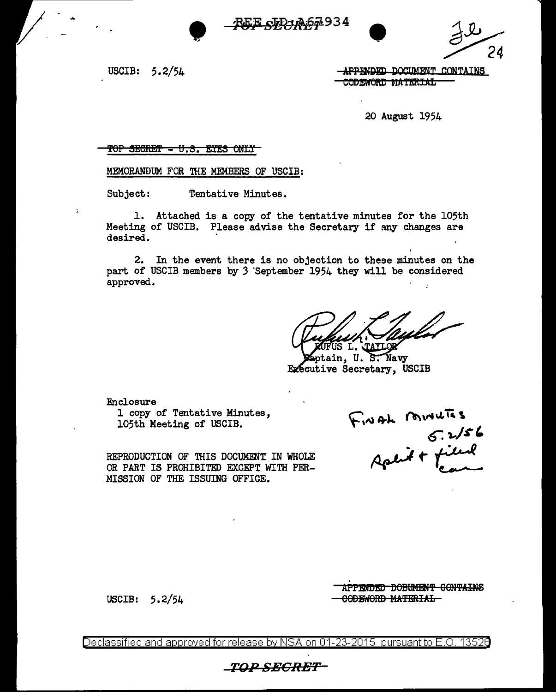



USCIB: 5.2/54

 $\cdot$ 

**APPENDED DOCUMENT CONTAINS** CODEWORD MATERIAL

20 August 1954

### TOP SECRET - U.S. EYES ONLY

### MEMORANDUM FOR THE MEMBERS OF USCIB:

Tentative Minutes. Subject:

1. Attached is a copy of the tentative minutes for the 105th Meeting of USCIB. Please advise the Secretary if any changes are desired.

2. In the event there is no objection to these minutes on the part of USCIB members by 3 September 1954 they will be considered approved.

US L. JAYLOR

ptain, U. S. Navy Executive Secretary, USCIB

Enclosure 1 copy of Tentative Minutes. 105th Meeting of USCIB.

REPRODUCTION OF THIS DOCUMENT IN WHOLE OR PART IS PROHIBITED EXCEPT WITH PER-MISSION OF THE ISSUING OFFICE.

FINAL MINUTES

USCIB:  $5.2/54$ 

APPENDED DOBUMENT CONTAINS CODEWORD MATERIAL

Declassified and approved for release by NSA on 01-23-2015 pursuant to E.O. 13526

\_TOP\_SE<del>CRET\_</del>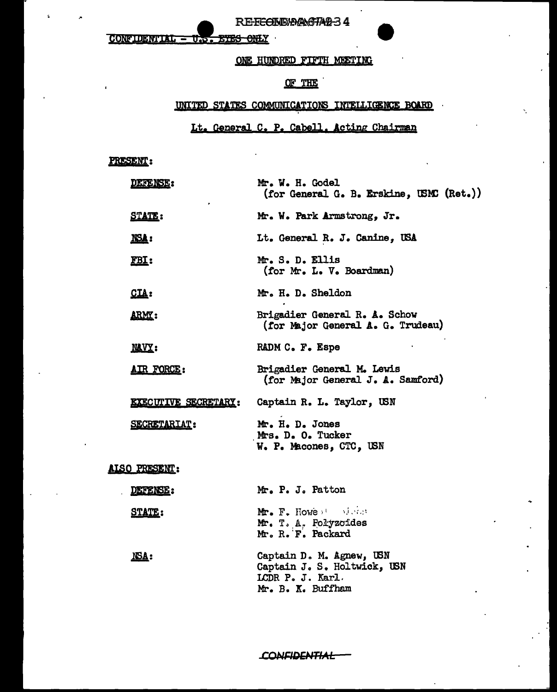**CONFIDENTIAL** <u>ETES ONLY</u>  $\overline{\mathtt{UE}}$ 

### ONE HUNDRED FIFTH MEETING

RE-FECTIDIA ANG TAB 34

## OF THE

### UNITED STATES COMMUNICATIONS INTELLIGENCE BOARD

## Lt. General C. P. Cabell. Acting Chairman

## PRESENT:

NSA:

| <b>DEFENSE:</b>             | Mr. W. H. Godel<br>(for General G. B. Erskine, USMC (Ret.))         |
|-----------------------------|---------------------------------------------------------------------|
| <u>STATE:</u>               | Mr. W. Park Armstrong, Jr.                                          |
| NSA:                        | Lt. General R. J. Canine, USA                                       |
| <u>FBI:</u>                 | Mr. S. D. Ellis<br>(for Mr. L. V. Boardman)                         |
| CLA:                        | Mr. H. D. Sheldon                                                   |
| <u>arm:</u>                 | Brigadier General R. A. Schow<br>(for Major General A. G. Trudeau)  |
| <u>NAVY</u> :               | RADM C. F. Espe                                                     |
| <u>AIR FORCE:</u>           | Brigadier General M. Lewis<br>(for Major General J. A. Samford)     |
| <b>EXECUTIVE SECRETARY:</b> | Captain R. L. Taylor, USN                                           |
| <b>SECRETARIAT:</b>         | Mr. H. D. Jones<br>Mrs. D. O. Tucker<br>W. P. Macones, CTC, USN     |
| <u>ALSO PRESENT:</u>        |                                                                     |
| DEFENSE:                    | Mr. P. J. Patton                                                    |
| <u>STATE:</u>               | Mr. F. Howe at a state<br>Mr. T. A. Polyzoides<br>Mr. R. F. Packard |

Captain D. M. Agnew, USN Captain J. S. Holtwick, USN LCDR P. J. Karl. Mr. B. K. Buffham

**CONFIDENTIAL**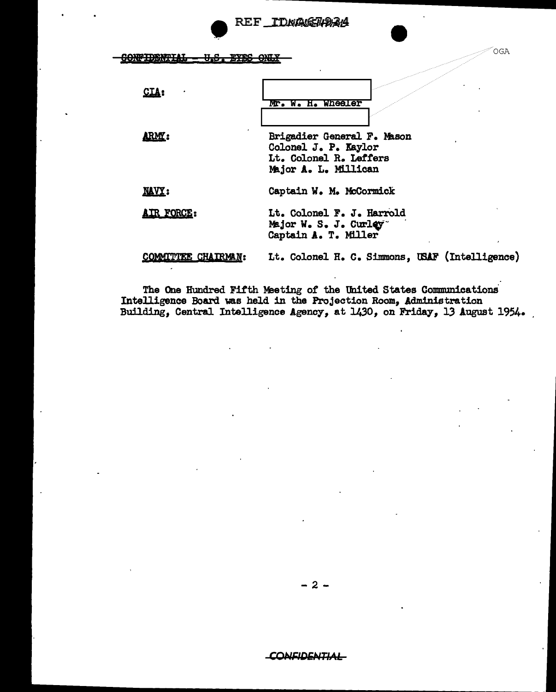REF\_IDNAGEN984

<u> GONFIDENTIAL –</u> <del>U.S. BYES ONLY</del>

CIA:

ARMI:

Mr. W. H. Wheeler

Brigadier General F. Mason Colonel J. P. Kaylor Lt. Colonel R. Leffers Major A. L. Millican

**OGA** 

**NAVY:** Captain W. M. McCormick

AIR FORCE: Lt. Colonel F. J. Harrold Major W. S. J. Curley Captain A. T. Miller

COMMITTEE CHAIRMAN: Lt. Colonel H. C. Simmons, USAF (Intelligence)

The One Hundred Fifth Meeting of the United States Communications Intelligence Board was held in the Projection Room, Administration Building, Central Intelligence Agency, at 1430, on Friday, 13 August 1954.

- 2 -

**CONFIDENTIAL**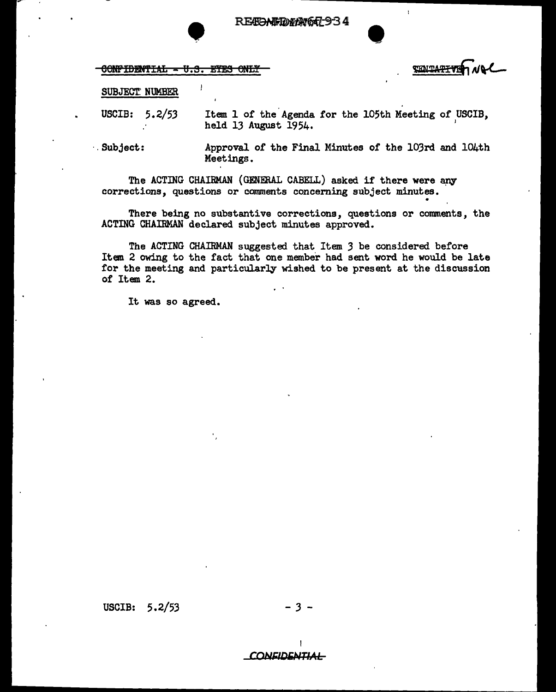RECOMEDENG4-934

CONFIDENTIAL - U.S. EYES ONLY

**THMTATTYE** 

### SUBJECT: NUMBER

USCIB: 5.2/53 Item 1 of the Agenda for the 105th Meeting of USCIB, held 13 August 1954.

·.Subject:

Approval of the Final Minutes of the 103rd and 104th Meetings.

•

The ACTING CHAIRMAN (GENERAL CABELL) asked if there were any corrections, questions or comments concerning subject minutes.

There being no substantive corrections, questions or comments, the ACTING CHAIRMAN declared subject minutes approved.

The ACTING CHAIRMAN suggested that Item 3 be considered before Item 2 owing to the fact that one member had sent word he would be late for the meeting and particularly wished to be present at the discussion of Item 2.

It was so agreed.

USCIB: 5.2/53

**CONFIDENTIAL**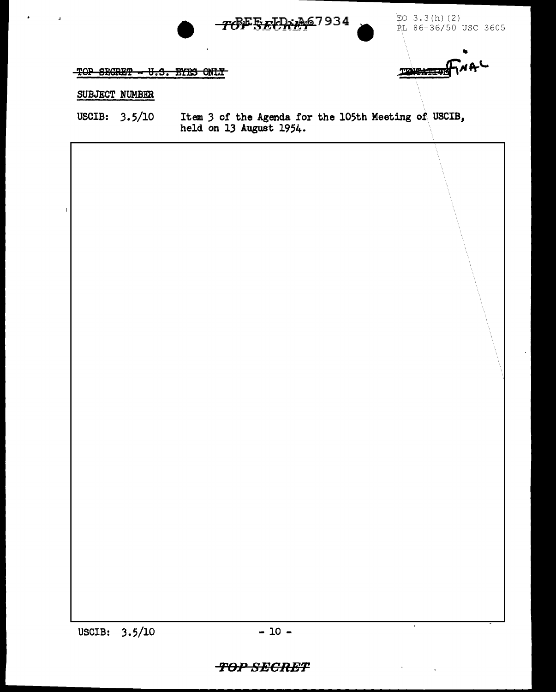

 $EO$  3.3(h)(2)  $PL 86-36/50$  USC 3605

•

JliJtl **Pr'-**

 $-TOP$  SECRET  $- U.S.$  EYES ONLY

## SUBJECT NUMBER

USCIB: 3.5/10 Item *3* of the Agenda for the 105th Meeting of USCIB, held on 13 August 1954.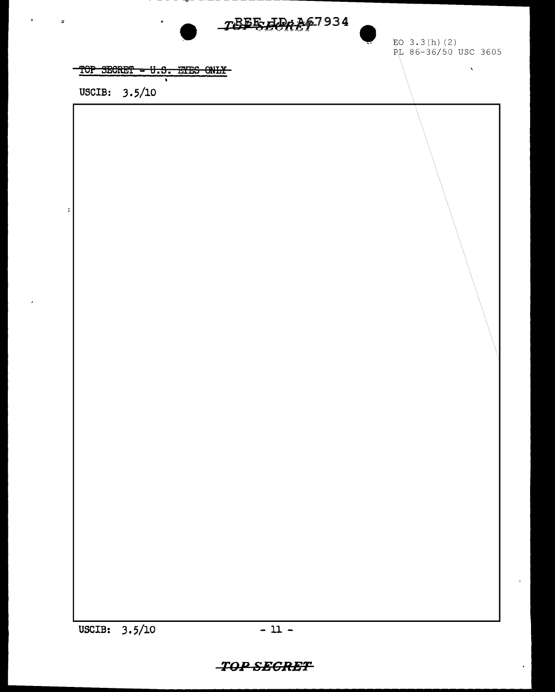

EO  $3.3(h)$  (2) PL 86-36/50 USC 3605

 $\bar{\chi}$ 

TOP SECRET - U.S. EYES ONLY

USCIB: 3.5/10

 $\ddot{z}$ 

# **TOP SECRET**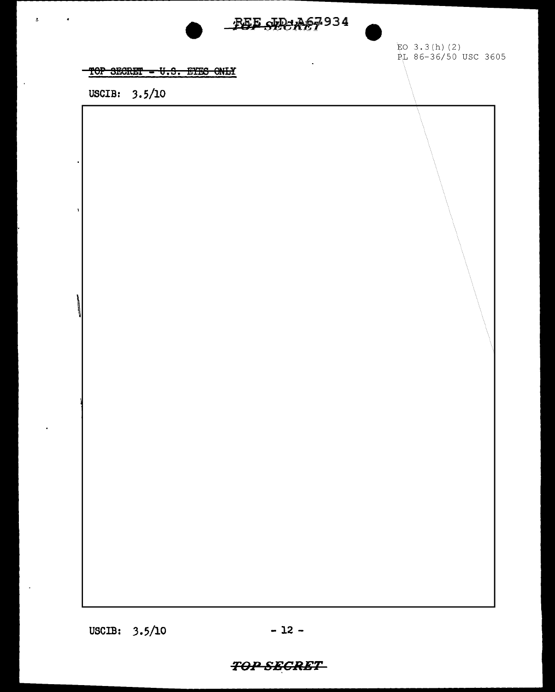# BEE SECTORS 934



TOP SECRET - U.S. EYES ONLY

USCIB: 3.5/10

 $\bar{z}$ 

 $\mathcal{A}$ 

USCIB: 3.5/10

# **TOP SECRET**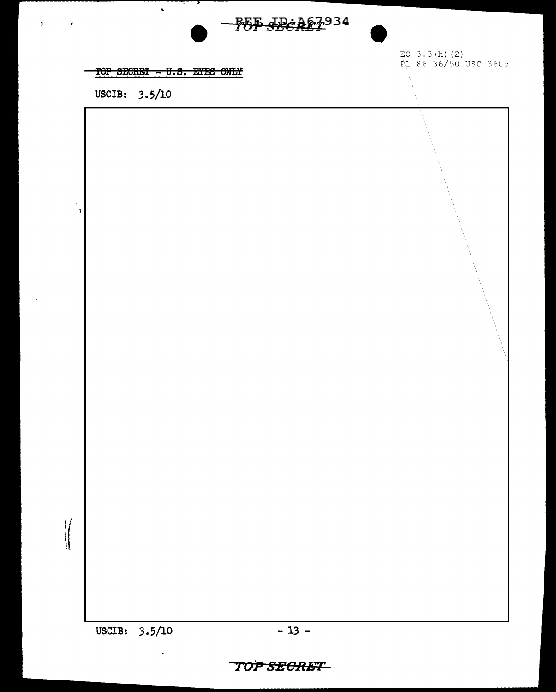

# TOP SECRET - U.S. ETES ONLY

 $\hat{\mathbf{z}}$ 

USCIB: 3.5/10

 $\mathbf{z}$ 

 $\epsilon$ 

 $\ddot{\phantom{a}}$  $\overline{1}$ 

 $\sqrt{\frac{1}{2}}$ 

EO  $3.3(h)$  (2) PL 86-36/50 USC 3605

USCIB: 3.5/10

# **TOP SECRET**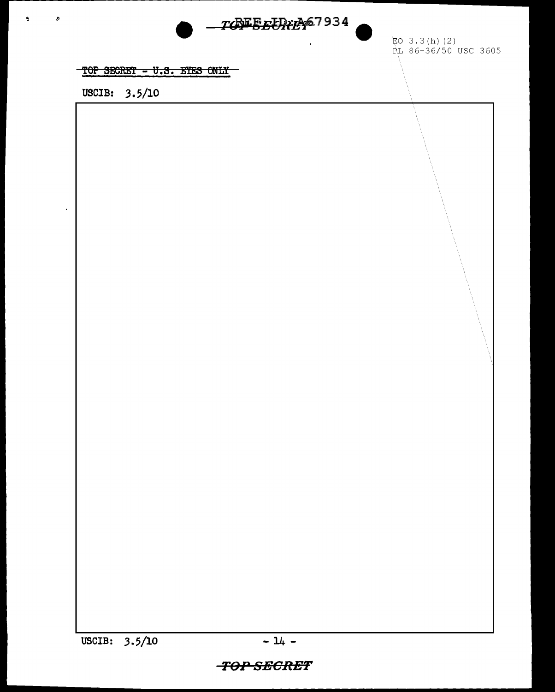

EO  $3.3(h)$  (2) RL 86-36/50 USC 3605

## TOP SECRET - U.S. EYES ONLY

USCIB: 3.5/10

 $\Delta$ 

 $\bullet$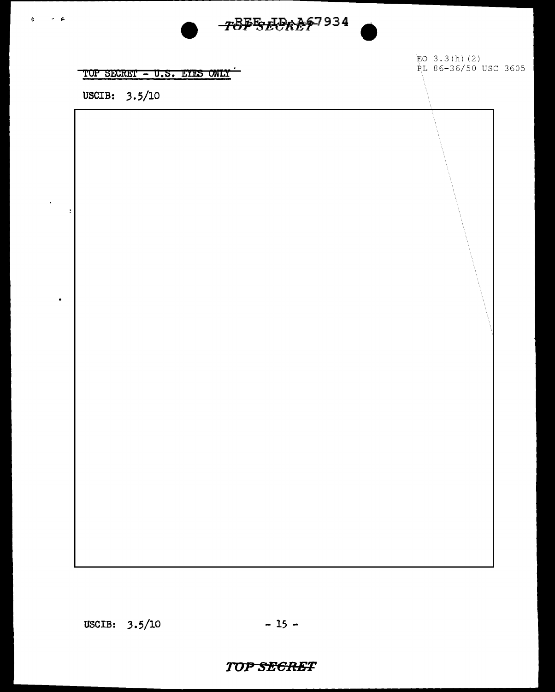

TOP SECRET - U.S. EYES ONLY

USCIB: 3.5/10

 $\frac{1}{2}$   $\frac{1}{2}$ 

 $\overline{1}$ 

 $\ddot{\phantom{0}}$ 

EO  $3.3(h)$  (2) PL 86-36/50 USC 3605

USCIB:  $3.5/10$ 

## **TOP SEGRET**